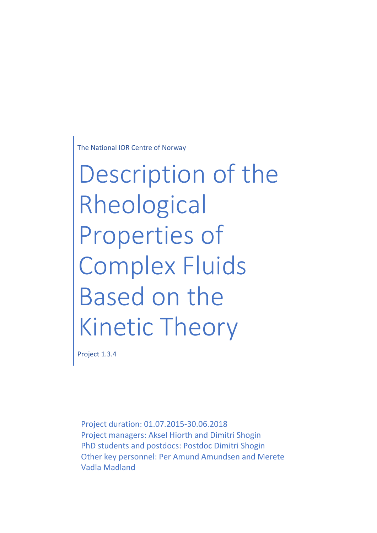The National IOR Centre of Norway

Description of the Rheological Properties of Complex Fluids Based on the Kinetic Theory

Project 1.3.4

Project duration: 01.07.2015-30.06.2018 Project managers: Aksel Hiorth and Dimitri Shogin PhD students and postdocs: Postdoc Dimitri Shogin Other key personnel: Per Amund Amundsen and Merete Vadla Madland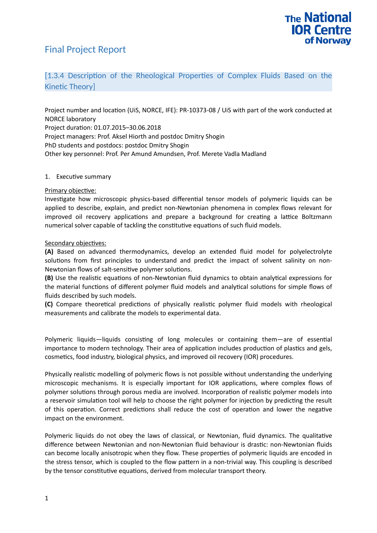## Final Project Report



### [1.3.4 Description of the Rheological Properties of Complex Fluids Based on the Kinetic Theory]

Project number and location (UiS, NORCE, IFE): PR-10373-08 / UiS with part of the work conducted at NORCE laboratory Project duration: 01.07.2015–30.06.2018 Project managers: Prof. Aksel Hiorth and postdoc Dmitry Shogin PhD students and postdocs: postdoc Dmitry Shogin Other key personnel: Prof. Per Amund Amundsen, Prof. Merete Vadla Madland

#### 1. Executive summary

#### Primary objective:

Investigate how microscopic physics-based differential tensor models of polymeric liquids can be applied to describe, explain, and predict non-Newtonian phenomena in complex flows relevant for improved oil recovery applications and prepare a background for creating a lattice Boltzmann numerical solver capable of tackling the constitutive equations of such fluid models.

#### Secondary objectives:

**(A)** Based on advanced thermodynamics, develop an extended fluid model for polyelectrolyte solutions from first principles to understand and predict the impact of solvent salinity on non-Newtonian flows of salt-sensitive polymer solutions.

**(B)** Use the realistic equations of non-Newtonian fluid dynamics to obtain analytical expressions for the material functions of different polymer fluid models and analytical solutions for simple flows of fluids described by such models.

**(C)** Compare theoretical predictions of physically realistic polymer fluid models with rheological measurements and calibrate the models to experimental data.

Polymeric liquids—liquids consisting of long molecules or containing them—are of essential importance to modern technology. Their area of application includes production of plastics and gels, cosmetics, food industry, biological physics, and improved oil recovery (IOR) procedures.

Physically realistic modelling of polymeric flows is not possible without understanding the underlying microscopic mechanisms. It is especially important for IOR applications, where complex flows of polymer solutions through porous media are involved. Incorporation of realistic polymer models into a reservoir simulation tool will help to choose the right polymer for injection by predicting the result of this operation. Correct predictions shall reduce the cost of operation and lower the negative impact on the environment.

Polymeric liquids do not obey the laws of classical, or Newtonian, fluid dynamics. The qualitative difference between Newtonian and non-Newtonian fluid behaviour is drastic: non-Newtonian fluids can become locally anisotropic when they flow. These properties of polymeric liquids are encoded in the stress tensor, which is coupled to the flow pattern in a non-trivial way. This coupling is described by the tensor constitutive equations, derived from molecular transport theory.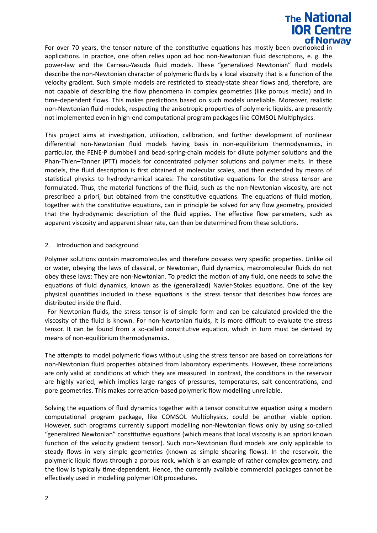# **The National IOR Centre** of Norway

For over 70 years, the tensor nature of the constitutive equations has mostly been overlooked in applications. In practice, one often relies upon ad hoc non-Newtonian fluid descriptions, e. g. the power-law and the Carreau-Yasuda fluid models. These "generalized Newtonian" fluid models describe the non-Newtonian character of polymeric fluids by a local viscosity that is a function of the velocity gradient. Such simple models are restricted to steady-state shear flows and, therefore, are not capable of describing the flow phenomena in complex geometries (like porous media) and in time-dependent flows. This makes predictions based on such models unreliable. Moreover, realistic non-Newtonian fluid models, respecting the anisotropic properties of polymeric liquids, are presently not implemented even in high-end computational program packages like COMSOL Multiphysics.

This project aims at investigation, utilization, calibration, and further development of nonlinear differential non-Newtonian fluid models having basis in non-equilibrium thermodynamics, in particular, the FENE-P dumbbell and bead-spring-chain models for dilute polymer solutions and the Phan-Thien–Tanner (PTT) models for concentrated polymer solutions and polymer melts. In these models, the fluid description is first obtained at molecular scales, and then extended by means of statistical physics to hydrodynamical scales: The constitutive equations for the stress tensor are formulated. Thus, the material functions of the fluid, such as the non-Newtonian viscosity, are not prescribed a priori, but obtained from the constitutive equations. The equations of fluid motion, together with the constitutive equations, can in principle be solved for any flow geometry, provided that the hydrodynamic description of the fluid applies. The effective flow parameters, such as apparent viscosity and apparent shear rate, can then be determined from these solutions.

#### 2. Introduction and background

Polymer solutions contain macromolecules and therefore possess very specific properties. Unlike oil or water, obeying the laws of classical, or Newtonian, fluid dynamics, macromolecular fluids do not obey these laws: They are non-Newtonian. To predict the motion of any fluid, one needs to solve the equations of fluid dynamics, known as the (generalized) Navier-Stokes equations. One of the key physical quantities included in these equations is the stress tensor that describes how forces are distributed inside the fluid.

 For Newtonian fluids, the stress tensor is of simple form and can be calculated provided the the viscosity of the fluid is known. For non-Newtonian fluids, it is more difficult to evaluate the stress tensor. It can be found from a so-called constitutive equation, which in turn must be derived by means of non-equilibrium thermodynamics.

The attempts to model polymeric flows without using the stress tensor are based on correlations for non-Newtonian fluid properties obtained from laboratory experiments. However, these correlations are only valid at conditions at which they are measured. In contrast, the conditions in the reservoir are highly varied, which implies large ranges of pressures, temperatures, salt concentrations, and pore geometries. This makes correlation-based polymeric flow modelling unreliable.

Solving the equations of fluid dynamics together with a tensor constitutive equation using a modern computational program package, like COMSOL Multiphysics, could be another viable option. However, such programs currently support modelling non-Newtonian flows only by using so-called "generalized Newtonian" constitutive equations (which means that local viscosity is an apriori known function of the velocity gradient tensor). Such non-Newtonian fluid models are only applicable to steady flows in very simple geometries (known as simple shearing flows). In the reservoir, the polymeric liquid flows through a porous rock, which is an example of rather complex geometry, and the flow is typically time-dependent. Hence, the currently available commercial packages cannot be effectively used in modelling polymer IOR procedures.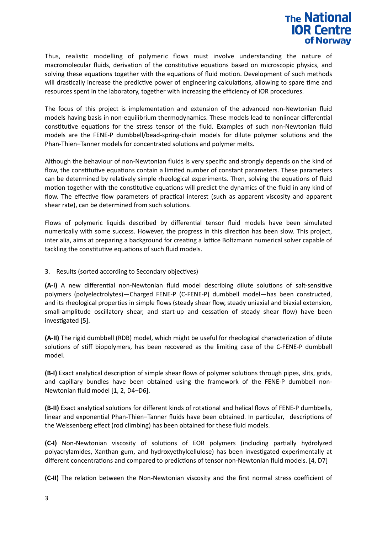

Thus, realistic modelling of polymeric flows must involve understanding the nature of macromolecular fluids, derivation of the constitutive equations based on microscopic physics, and solving these equations together with the equations of fluid motion. Development of such methods will drastically increase the predictive power of engineering calculations, allowing to spare time and resources spent in the laboratory, together with increasing the efficiency of IOR procedures.

The focus of this project is implementation and extension of the advanced non-Newtonian fluid models having basis in non-equilibrium thermodynamics. These models lead to nonlinear differential constitutive equations for the stress tensor of the fluid. Examples of such non-Newtonian fluid models are the FENE-P dumbbell/bead-spring-chain models for dilute polymer solutions and the Phan-Thien–Tanner models for concentrated solutions and polymer melts.

Although the behaviour of non-Newtonian fluids is very specific and strongly depends on the kind of flow, the constitutive equations contain a limited number of constant parameters. These parameters can be determined by relatively simple rheological experiments. Then, solving the equations of fluid motion together with the constitutive equations will predict the dynamics of the fluid in any kind of flow. The effective flow parameters of practical interest (such as apparent viscosity and apparent shear rate), can be determined from such solutions.

Flows of polymeric liquids described by differential tensor fluid models have been simulated numerically with some success. However, the progress in this direction has been slow. This project, inter alia, aims at preparing a background for creating a lattice Boltzmann numerical solver capable of tackling the constitutive equations of such fluid models.

3. Results (sorted according to Secondary objectives)

**(A-I)** A new differential non-Newtonian fluid model describing dilute solutions of salt-sensitive polymers (polyelectrolytes)—Charged FENE-P (C-FENE-P) dumbbell model—has been constructed, and its rheological properties in simple flows (steady shear flow, steady uniaxial and biaxial extension, small-amplitude oscillatory shear, and start-up and cessation of steady shear flow) have been investigated [5].

**(A-II)** The rigid dumbbell (RDB) model, which might be useful for rheological characterization of dilute solutions of stiff biopolymers, has been recovered as the limiting case of the C-FENE-P dumbbell model.

**(B-I)** Exact analytical description of simple shear flows of polymer solutions through pipes, slits, grids, and capillary bundles have been obtained using the framework of the FENE-P dumbbell non-Newtonian fluid model [1, 2, D4–D6].

**(B-II)** Exact analytical solutions for different kinds of rotational and helical flows of FENE-P dumbbells, linear and exponential Phan-Thien–Tanner fluids have been obtained. In particular, descriptions of the Weissenberg effect (rod climbing) has been obtained for these fluid models.

**(C-I)** Non-Newtonian viscosity of solutions of EOR polymers (including partially hydrolyzed polyacrylamides, Xanthan gum, and hydroxyethylcellulose) has been investigated experimentally at different concentrations and compared to predictions of tensor non-Newtonian fluid models. [4, D7]

**(C-II)** The relation between the Non-Newtonian viscosity and the first normal stress coefficient of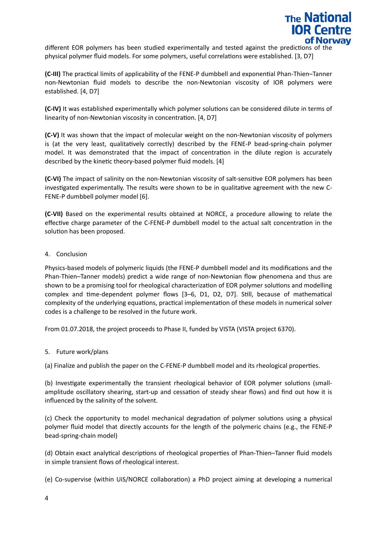

different EOR polymers has been studied experimentally and tested against the predictions of the physical polymer fluid models. For some polymers, useful correlations were established. [3, D7]

**(C-III)** The practical limits of applicability of the FENE-P dumbbell and exponential Phan-Thien–Tanner non-Newtonian fluid models to describe the non-Newtonian viscosity of IOR polymers were established. [4, D7]

**(C-IV)** It was established experimentally which polymer solutions can be considered dilute in terms of linearity of non-Newtonian viscosity in concentration. [4, D7]

**(C-V)** It was shown that the impact of molecular weight on the non-Newtonian viscosity of polymers is (at the very least, qualitatively correctly) described by the FENE-P bead-spring-chain polymer model. It was demonstrated that the impact of concentration in the dilute region is accurately described by the kinetic theory-based polymer fluid models. [4]

**(C-VI)** The impact of salinity on the non-Newtonian viscosity of salt-sensitive EOR polymers has been investigated experimentally. The results were shown to be in qualitative agreement with the new C-FENE-P dumbbell polymer model [6].

**(C-VII)** Based on the experimental results obtained at NORCE, a procedure allowing to relate the effective charge parameter of the C-FENE-P dumbbell model to the actual salt concentration in the solution has been proposed.

#### 4. Conclusion

Physics-based models of polymeric liquids (the FENE-P dumbbell model and its modifications and the Phan-Thien–Tanner models) predict a wide range of non-Newtonian flow phenomena and thus are shown to be a promising tool for rheological characterization of EOR polymer solutions and modelling complex and time-dependent polymer flows [3–6, D1, D2, D7]. Still, because of mathematical complexity of the underlying equations, practical implementation of these models in numerical solver codes is a challenge to be resolved in the future work.

From 01.07.2018, the project proceeds to Phase II, funded by VISTA (VISTA project 6370).

#### 5. Future work/plans

(a) Finalize and publish the paper on the C-FENE-P dumbbell model and its rheological properties.

(b) Investigate experimentally the transient rheological behavior of EOR polymer solutions (smallamplitude oscillatory shearing, start-up and cessation of steady shear flows) and find out how it is influenced by the salinity of the solvent.

(c) Check the opportunity to model mechanical degradation of polymer solutions using a physical polymer fluid model that directly accounts for the length of the polymeric chains (e.g., the FENE-P bead-spring-chain model)

(d) Obtain exact analytical descriptions of rheological properties of Phan-Thien–Tanner fluid models in simple transient flows of rheological interest.

(e) Co-supervise (within UiS/NORCE collaboration) a PhD project aiming at developing a numerical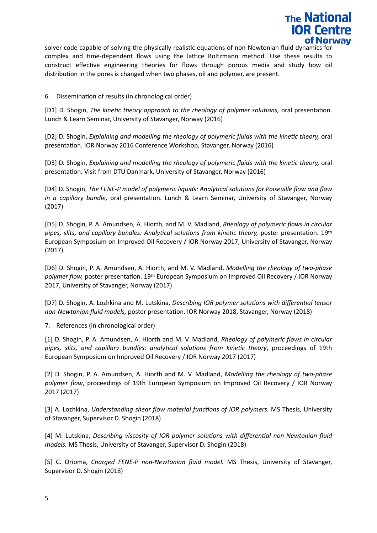

solver code capable of solving the physically realistic equations of non-Newtonian fluid dynamics for complex and time-dependent flows using the lattice Boltzmann method. Use these results to construct effective engineering theories for flows through porous media and study how oil distribution in the pores is changed when two phases, oil and polymer, are present.

6. Dissemination of results (in chronological order)

[D1] D. Shogin, *The kinetic theory approach to the rheology of polymer solutions,* oral presentation. Lunch & Learn Seminar, University of Stavanger, Norway (2016)

[D2] D. Shogin, *Explaining and modelling the rheology of polymeric fluids with the kinetic theory,* oral presentation. IOR Norway 2016 Conference Workshop, Stavanger, Norway (2016)

[D3] D. Shogin, *Explaining and modelling the rheology of polymeric fluids with the kinetic theory, oral* presentation. Visit from DTU Danmark, University of Stavanger, Norway (2016)

[D4] D. Shogin, *The FENE-P model of polymeric liquids: Analytical solutions for Poiseuille flow and flow in a capillary bundle,* oral presentation. Lunch & Learn Seminar, University of Stavanger, Norway (2017)

[D5] D. Shogin, P. A. Amundsen, A. Hiorth, and M. V. Madland, *Rheology of polymeric flows in circular pipes, slits, and capillary bundles: Analytical solutions from kinetic theory,* poster presentation. 19th European Symposium on Improved Oil Recovery / IOR Norway 2017, University of Stavanger, Norway (2017)

[D6] D. Shogin, P. A. Amundsen, A. Hiorth, and M. V. Madland, *Modelling the rheology of two-phase polymer flow,* poster presentation. 19th European Symposium on Improved Oil Recovery / IOR Norway 2017, University of Stavanger, Norway (2017)

[D7] D. Shogin, A. Lozhkina and M. Lutskina, *Describing IOR polymer solutions with differential tensor non-Newtonian fluid models,* poster presentation. IOR Norway 2018, Stavanger, Norway (2018)

7. References (in chronological order)

[1] D. Shogin, P. A. Amundsen, A. Hiorth and M. V. Madland, *Rheology of polymeric flows in circular pipes, slits, and capillary bundles: analytical solutions from kinetic theory*, proceedings of 19th European Symposium on Improved Oil Recovery / IOR Norway 2017 (2017)

[2] D. Shogin, P. A. Amundsen, A. Hiorth and M. V. Madland, *Modelling the rheology of two-phase polymer flow*, proceedings of 19th European Symposium on Improved Oil Recovery / IOR Norway 2017 (2017)

[3] A. Lozhkina, *Understanding shear flow material functions of IOR polymers.* MS Thesis, University of Stavanger, Supervisor D. Shogin (2018)

[4] M. Lutskina, *Describing viscosity of IOR polymer solutions with differential non-Newtonian fluid models.* MS Thesis, University of Stavanger, Supervisor D. Shogin (2018)

[5] C. Orioma, *Charged FENE-P non-Newtonian fluid model.* MS Thesis, University of Stavanger, Supervisor D. Shogin (2018)